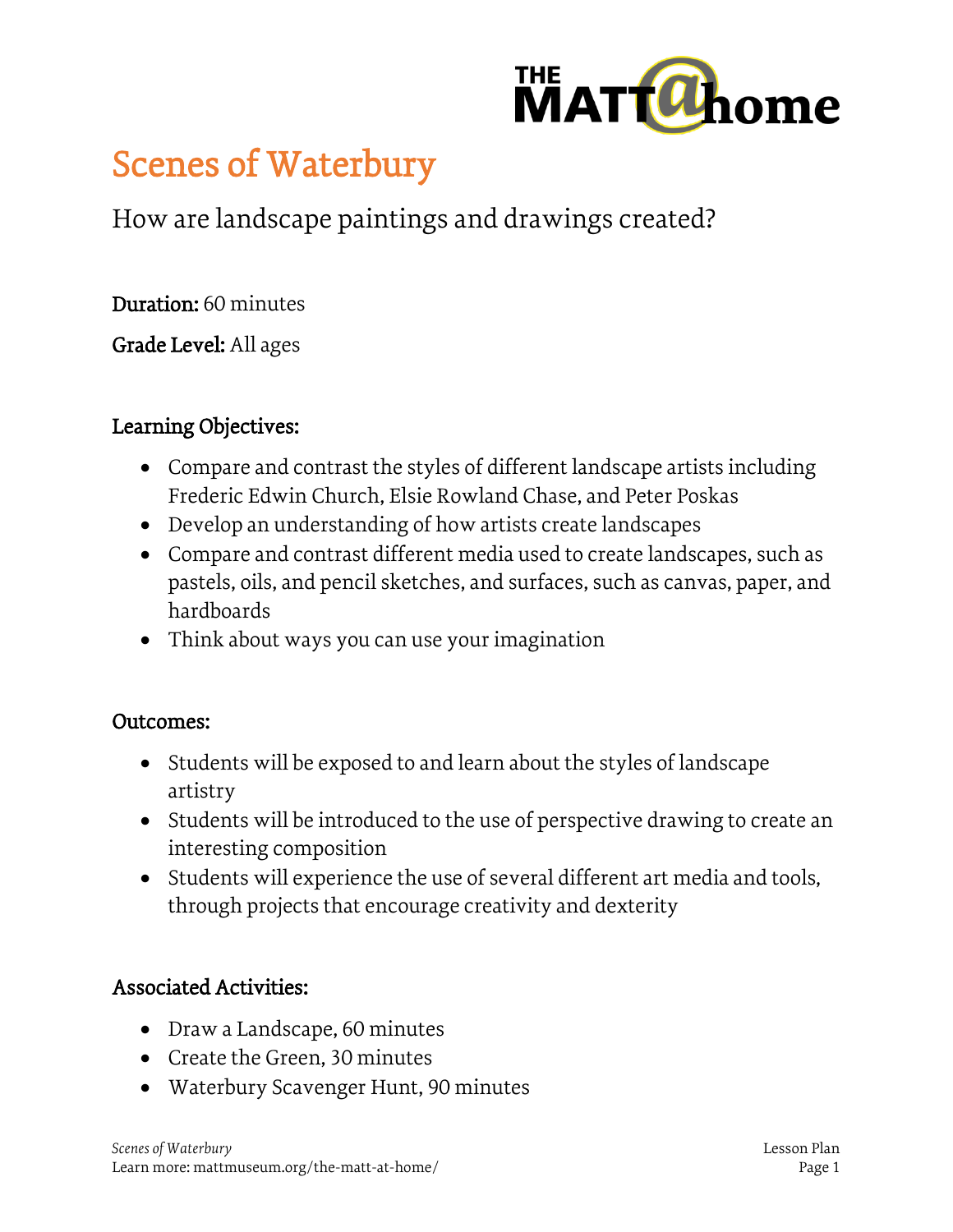

# Scenes of Waterbury

How are landscape paintings and drawings created?

Duration: 60 minutes

Grade Level: All ages

### Learning Objectives:

- Compare and contrast the styles of different landscape artists including Frederic Edwin Church, Elsie Rowland Chase, and Peter Poskas
- Develop an understanding of how artists create landscapes
- Compare and contrast different media used to create landscapes, such as pastels, oils, and pencil sketches, and surfaces, such as canvas, paper, and hardboards
- Think about ways you can use your imagination

#### Outcomes:

- Students will be exposed to and learn about the styles of landscape artistry
- Students will be introduced to the use of perspective drawing to create an interesting composition
- Students will experience the use of several different art media and tools, through projects that encourage creativity and dexterity

### Associated Activities:

- Draw a Landscape, 60 minutes
- Create the Green, 30 minutes
- Waterbury Scavenger Hunt, 90 minutes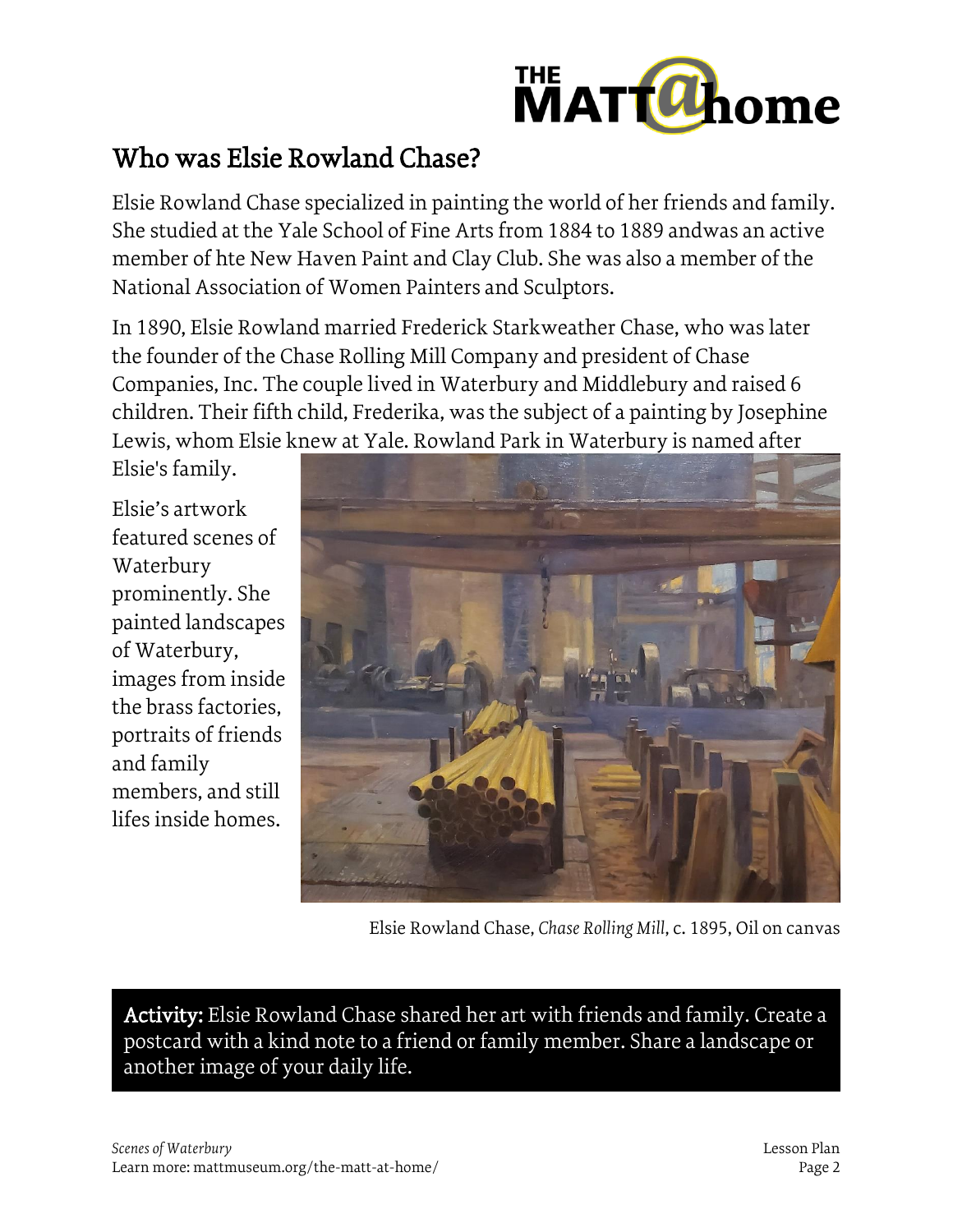

## Who was Elsie Rowland Chase?

Elsie Rowland Chase specialized in painting the world of her friends and family. She studied at the Yale School of Fine Arts from 1884 to 1889 andwas an active member of hte New Haven Paint and Clay Club. She was also a member of the National Association of Women Painters and Sculptors.

In 1890, Elsie Rowland married Frederick Starkweather Chase, who was later the founder of the Chase Rolling Mill Company and president of Chase Companies, Inc. The couple lived in Waterbury and Middlebury and raised 6 children. Their fifth child, Frederika, was the subject of a painting by Josephine Lewis, whom Elsie knew at Yale. Rowland Park in Waterbury is named after

Elsie's family.

Elsie's artwork featured scenes of Waterbury prominently. She painted landscapes of Waterbury, images from inside the brass factories, portraits of friends and family members, and still lifes inside homes.



Elsie Rowland Chase, *Chase Rolling Mill*, c. 1895, Oil on canvas

Activity: Elsie Rowland Chase shared her art with friends and family. Create a postcard with a kind note to a friend or family member. Share a landscape or another image of your daily life.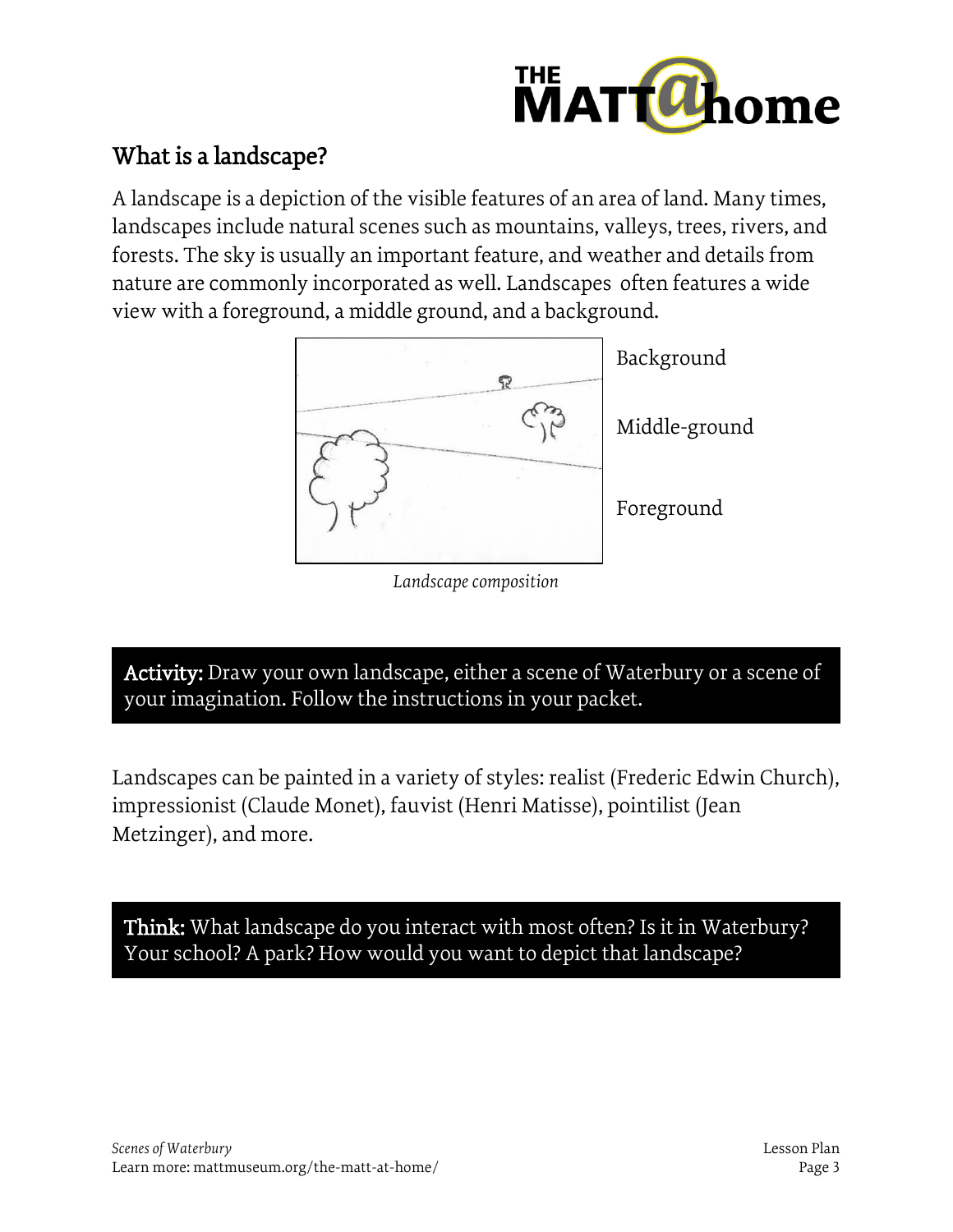

## What is a landscape?

A landscape is a depiction of the visible features of an area of land. Many times, landscapes include natural scenes such as mountains, valleys, trees, rivers, and forests. The sky is usually an important feature, and weather and details from nature are commonly incorporated as well. Landscapes often features a wide view with a foreground, a middle ground, and a background.



*Landscape composition*

Activity: Draw your own landscape, either a scene of Waterbury or a scene of your imagination. Follow the instructions in your packet.

Landscapes can be painted in a variety of styles: realist (Frederic Edwin Church), impressionist (Claude Monet), fauvist (Henri Matisse), pointilist (Jean Metzinger), and more.

Think: What landscape do you interact with most often? Is it in Waterbury? Your school? A park? How would you want to depict that landscape?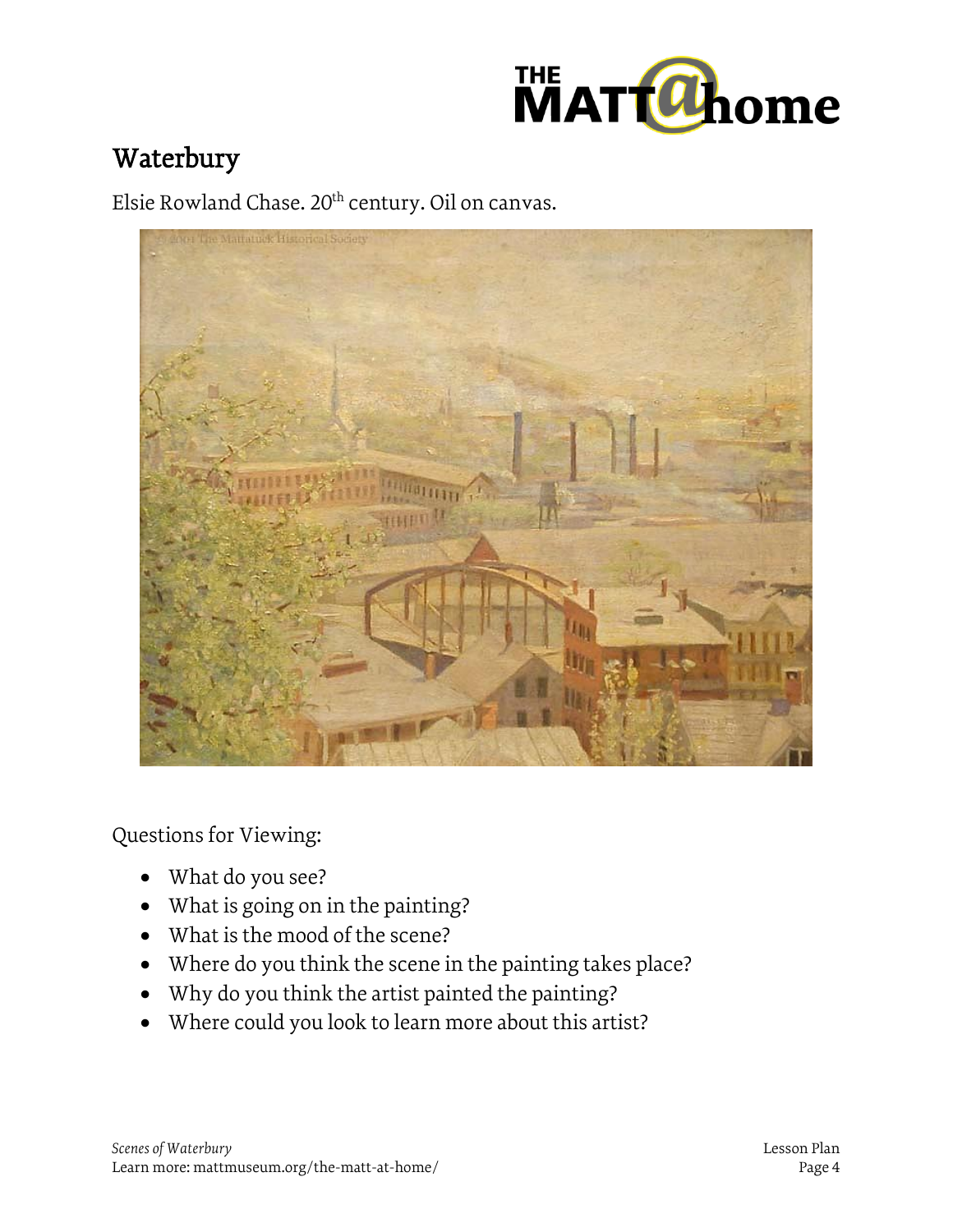

## Waterbury

Elsie Rowland Chase. 20<sup>th</sup> century. Oil on canvas.



Questions for Viewing:

- What do you see?
- What is going on in the painting?
- What is the mood of the scene?
- Where do you think the scene in the painting takes place?
- Why do you think the artist painted the painting?
- Where could you look to learn more about this artist?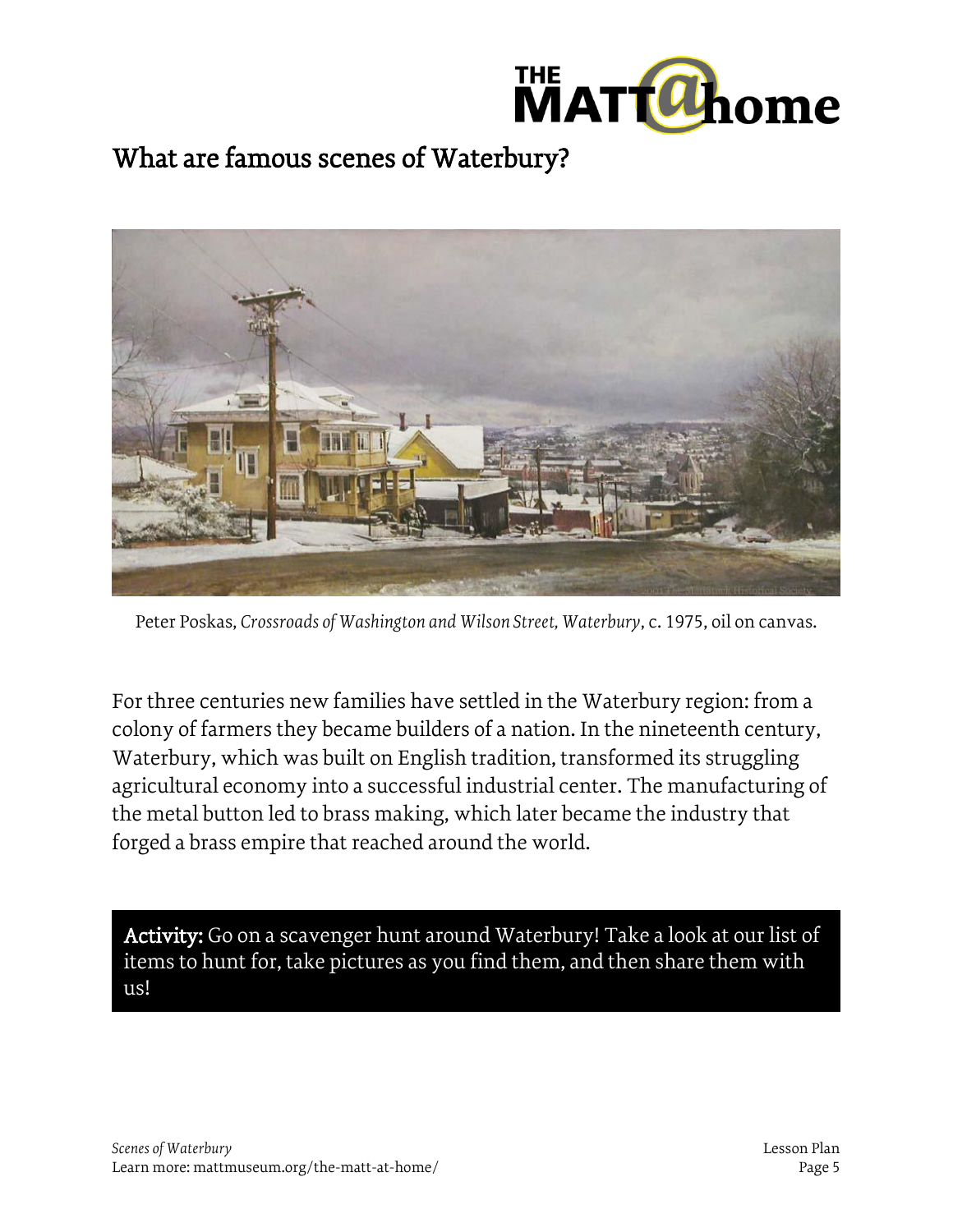



Peter Poskas, *Crossroads of Washington and Wilson Street, Waterbury*, c. 1975, oil on canvas.

For three centuries new families have settled in the Waterbury region: from a colony of farmers they became builders of a nation. In the nineteenth century, Waterbury, which was built on English tradition, transformed its struggling agricultural economy into a successful industrial center. The manufacturing of the metal button led to brass making, which later became the industry that forged a brass empire that reached around the world.

Activity: Go on a scavenger hunt around Waterbury! Take a look at our list of items to hunt for, take pictures as you find them, and then share them with us!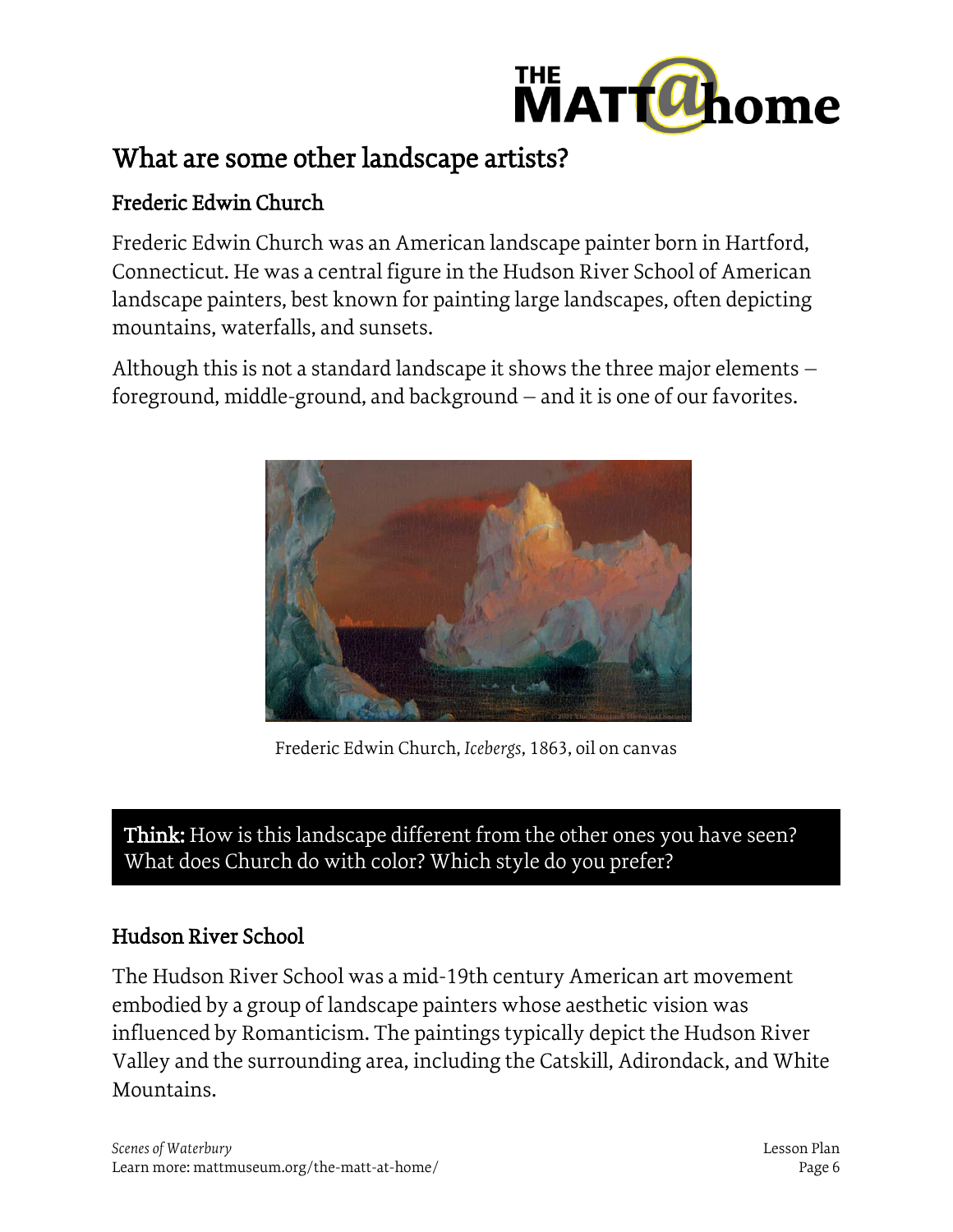

## Frederic Edwin Church

Frederic Edwin Church was an American landscape painter born in Hartford, Connecticut. He was a central figure in the Hudson River School of American landscape painters, best known for painting large landscapes, often depicting mountains, waterfalls, and sunsets.

Although this is not a standard landscape it shows the three major elements – foreground, middle-ground, and background – and it is one of our favorites.



Frederic Edwin Church, *Icebergs*, 1863, oil on canvas

Think: How is this landscape different from the other ones you have seen? What does Church do with color? Which style do you prefer?

## Hudson River School

The Hudson River School was a mid-19th century American art movement embodied by a group of landscape painters whose aesthetic vision was influenced by Romanticism. The paintings typically depict the Hudson River Valley and the surrounding area, including the Catskill, Adirondack, and White Mountains.